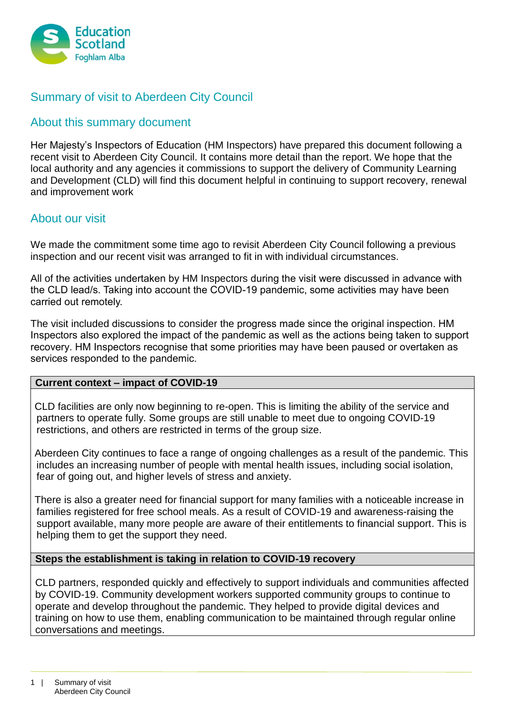

# Summary of visit to Aberdeen City Council

# About this summary document

Her Majesty's Inspectors of Education (HM Inspectors) have prepared this document following a recent visit to Aberdeen City Council. It contains more detail than the report. We hope that the local authority and any agencies it commissions to support the delivery of Community Learning and Development (CLD) will find this document helpful in continuing to support recovery, renewal and improvement work

## About our visit

We made the commitment some time ago to revisit Aberdeen City Council following a previous inspection and our recent visit was arranged to fit in with individual circumstances.

All of the activities undertaken by HM Inspectors during the visit were discussed in advance with the CLD lead/s. Taking into account the COVID-19 pandemic, some activities may have been carried out remotely.

The visit included discussions to consider the progress made since the original inspection. HM Inspectors also explored the impact of the pandemic as well as the actions being taken to support recovery. HM Inspectors recognise that some priorities may have been paused or overtaken as services responded to the pandemic.

#### **Current context – impact of COVID-19**

CLD facilities are only now beginning to re-open. This is limiting the ability of the service and partners to operate fully. Some groups are still unable to meet due to ongoing COVID-19 restrictions, and others are restricted in terms of the group size.

Aberdeen City continues to face a range of ongoing challenges as a result of the pandemic. This includes an increasing number of people with mental health issues, including social isolation, fear of going out, and higher levels of stress and anxiety.

There is also a greater need for financial support for many families with a noticeable increase in families registered for free school meals. As a result of COVID-19 and awareness-raising the support available, many more people are aware of their entitlements to financial support. This is helping them to get the support they need.

#### **Steps the establishment is taking in relation to COVID-19 recovery**

CLD partners, responded quickly and effectively to support individuals and communities affected by COVID-19. Community development workers supported community groups to continue to operate and develop throughout the pandemic. They helped to provide digital devices and training on how to use them, enabling communication to be maintained through regular online conversations and meetings.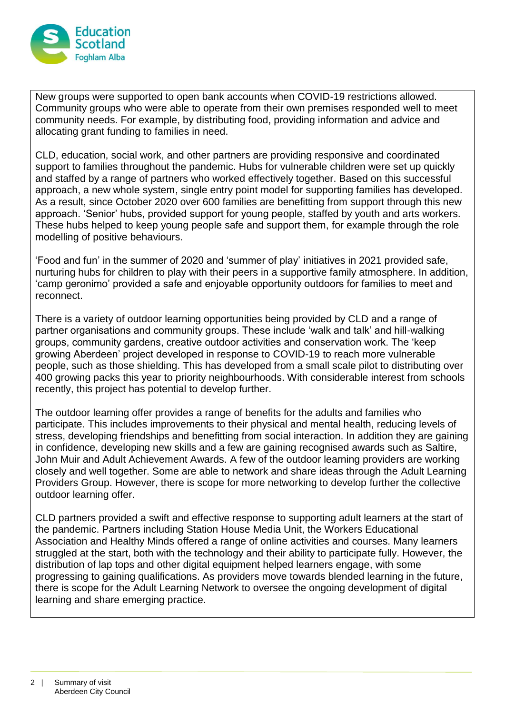

New groups were supported to open bank accounts when COVID-19 restrictions allowed. Community groups who were able to operate from their own premises responded well to meet community needs. For example, by distributing food, providing information and advice and allocating grant funding to families in need.

CLD, education, social work, and other partners are providing responsive and coordinated support to families throughout the pandemic. Hubs for vulnerable children were set up quickly and staffed by a range of partners who worked effectively together. Based on this successful approach, a new whole system, single entry point model for supporting families has developed. As a result, since October 2020 over 600 families are benefitting from support through this new approach. 'Senior' hubs, provided support for young people, staffed by youth and arts workers. These hubs helped to keep young people safe and support them, for example through the role modelling of positive behaviours.

'Food and fun' in the summer of 2020 and 'summer of play' initiatives in 2021 provided safe, nurturing hubs for children to play with their peers in a supportive family atmosphere. In addition, 'camp geronimo' provided a safe and enjoyable opportunity outdoors for families to meet and reconnect.

There is a variety of outdoor learning opportunities being provided by CLD and a range of partner organisations and community groups. These include 'walk and talk' and hill-walking groups, community gardens, creative outdoor activities and conservation work. The 'keep growing Aberdeen' project developed in response to COVID-19 to reach more vulnerable people, such as those shielding. This has developed from a small scale pilot to distributing over 400 growing packs this year to priority neighbourhoods. With considerable interest from schools recently, this project has potential to develop further.

The outdoor learning offer provides a range of benefits for the adults and families who participate. This includes improvements to their physical and mental health, reducing levels of stress, developing friendships and benefitting from social interaction. In addition they are gaining in confidence, developing new skills and a few are gaining recognised awards such as Saltire, John Muir and Adult Achievement Awards. A few of the outdoor learning providers are working closely and well together. Some are able to network and share ideas through the Adult Learning Providers Group. However, there is scope for more networking to develop further the collective outdoor learning offer.

CLD partners provided a swift and effective response to supporting adult learners at the start of the pandemic. Partners including Station House Media Unit, the Workers Educational Association and Healthy Minds offered a range of online activities and courses. Many learners struggled at the start, both with the technology and their ability to participate fully. However, the distribution of lap tops and other digital equipment helped learners engage, with some progressing to gaining qualifications. As providers move towards blended learning in the future, there is scope for the Adult Learning Network to oversee the ongoing development of digital learning and share emerging practice.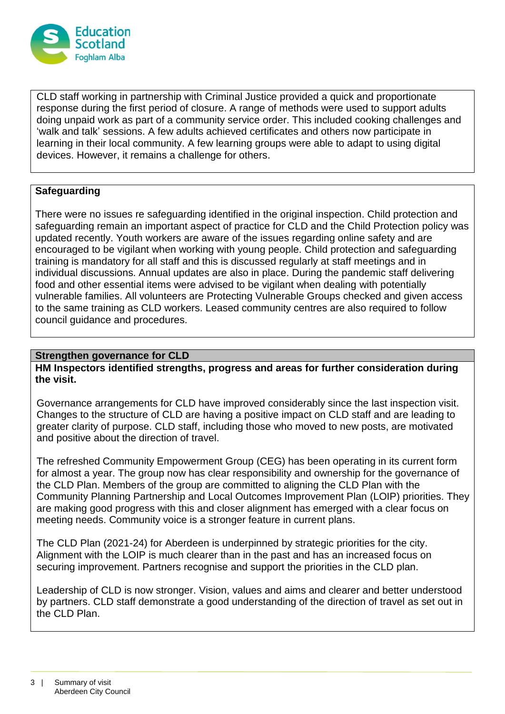

CLD staff working in partnership with Criminal Justice provided a quick and proportionate response during the first period of closure. A range of methods were used to support adults doing unpaid work as part of a community service order. This included cooking challenges and 'walk and talk' sessions. A few adults achieved certificates and others now participate in learning in their local community. A few learning groups were able to adapt to using digital devices. However, it remains a challenge for others.

### **Safeguarding**

There were no issues re safeguarding identified in the original inspection. Child protection and safeguarding remain an important aspect of practice for CLD and the Child Protection policy was updated recently. Youth workers are aware of the issues regarding online safety and are encouraged to be vigilant when working with young people. Child protection and safeguarding training is mandatory for all staff and this is discussed regularly at staff meetings and in individual discussions. Annual updates are also in place. During the pandemic staff delivering food and other essential items were advised to be vigilant when dealing with potentially vulnerable families. All volunteers are Protecting Vulnerable Groups checked and given access to the same training as CLD workers. Leased community centres are also required to follow council guidance and procedures.

### **Strengthen governance for CLD**

**HM Inspectors identified strengths, progress and areas for further consideration during the visit.**

Governance arrangements for CLD have improved considerably since the last inspection visit. Changes to the structure of CLD are having a positive impact on CLD staff and are leading to greater clarity of purpose. CLD staff, including those who moved to new posts, are motivated and positive about the direction of travel.

The refreshed Community Empowerment Group (CEG) has been operating in its current form for almost a year. The group now has clear responsibility and ownership for the governance of the CLD Plan. Members of the group are committed to aligning the CLD Plan with the Community Planning Partnership and Local Outcomes Improvement Plan (LOIP) priorities. They are making good progress with this and closer alignment has emerged with a clear focus on meeting needs. Community voice is a stronger feature in current plans.

The CLD Plan (2021-24) for Aberdeen is underpinned by strategic priorities for the city. Alignment with the LOIP is much clearer than in the past and has an increased focus on securing improvement. Partners recognise and support the priorities in the CLD plan.

Leadership of CLD is now stronger. Vision, values and aims and clearer and better understood by partners. CLD staff demonstrate a good understanding of the direction of travel as set out in the CLD Plan.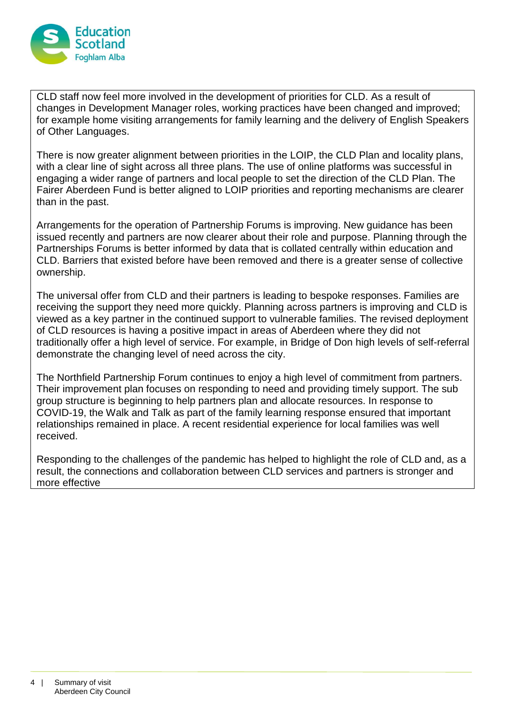

CLD staff now feel more involved in the development of priorities for CLD. As a result of changes in Development Manager roles, working practices have been changed and improved; for example home visiting arrangements for family learning and the delivery of English Speakers of Other Languages.

There is now greater alignment between priorities in the LOIP, the CLD Plan and locality plans, with a clear line of sight across all three plans. The use of online platforms was successful in engaging a wider range of partners and local people to set the direction of the CLD Plan. The Fairer Aberdeen Fund is better aligned to LOIP priorities and reporting mechanisms are clearer than in the past.

Arrangements for the operation of Partnership Forums is improving. New guidance has been issued recently and partners are now clearer about their role and purpose. Planning through the Partnerships Forums is better informed by data that is collated centrally within education and CLD. Barriers that existed before have been removed and there is a greater sense of collective ownership.

The universal offer from CLD and their partners is leading to bespoke responses. Families are receiving the support they need more quickly. Planning across partners is improving and CLD is viewed as a key partner in the continued support to vulnerable families. The revised deployment of CLD resources is having a positive impact in areas of Aberdeen where they did not traditionally offer a high level of service. For example, in Bridge of Don high levels of self-referral demonstrate the changing level of need across the city.

The Northfield Partnership Forum continues to enjoy a high level of commitment from partners. Their improvement plan focuses on responding to need and providing timely support. The sub group structure is beginning to help partners plan and allocate resources. In response to COVID-19, the Walk and Talk as part of the family learning response ensured that important relationships remained in place. A recent residential experience for local families was well received.

Responding to the challenges of the pandemic has helped to highlight the role of CLD and, as a result, the connections and collaboration between CLD services and partners is stronger and more effective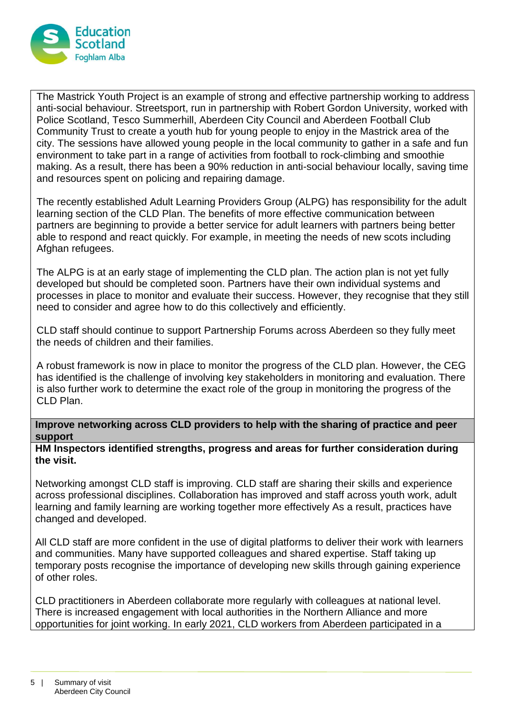

The Mastrick Youth Project is an example of strong and effective partnership working to address anti-social behaviour. Streetsport, run in partnership with Robert Gordon University, worked with Police Scotland, Tesco Summerhill, Aberdeen City Council and Aberdeen Football Club Community Trust to create a youth hub for young people to enjoy in the Mastrick area of the city. The sessions have allowed young people in the local community to gather in a safe and fun environment to take part in a range of activities from football to rock-climbing and smoothie making. As a result, there has been a 90% reduction in anti-social behaviour locally, saving time and resources spent on policing and repairing damage.

The recently established Adult Learning Providers Group (ALPG) has responsibility for the adult learning section of the CLD Plan. The benefits of more effective communication between partners are beginning to provide a better service for adult learners with partners being better able to respond and react quickly. For example, in meeting the needs of new scots including Afghan refugees.

The ALPG is at an early stage of implementing the CLD plan. The action plan is not yet fully developed but should be completed soon. Partners have their own individual systems and processes in place to monitor and evaluate their success. However, they recognise that they still need to consider and agree how to do this collectively and efficiently.

CLD staff should continue to support Partnership Forums across Aberdeen so they fully meet the needs of children and their families.

A robust framework is now in place to monitor the progress of the CLD plan. However, the CEG has identified is the challenge of involving key stakeholders in monitoring and evaluation. There is also further work to determine the exact role of the group in monitoring the progress of the CLD Plan.

**Improve networking across CLD providers to help with the sharing of practice and peer support**

**HM Inspectors identified strengths, progress and areas for further consideration during the visit.**

Networking amongst CLD staff is improving. CLD staff are sharing their skills and experience across professional disciplines. Collaboration has improved and staff across youth work, adult learning and family learning are working together more effectively As a result, practices have changed and developed.

All CLD staff are more confident in the use of digital platforms to deliver their work with learners and communities. Many have supported colleagues and shared expertise. Staff taking up temporary posts recognise the importance of developing new skills through gaining experience of other roles.

CLD practitioners in Aberdeen collaborate more regularly with colleagues at national level. There is increased engagement with local authorities in the Northern Alliance and more opportunities for joint working. In early 2021, CLD workers from Aberdeen participated in a